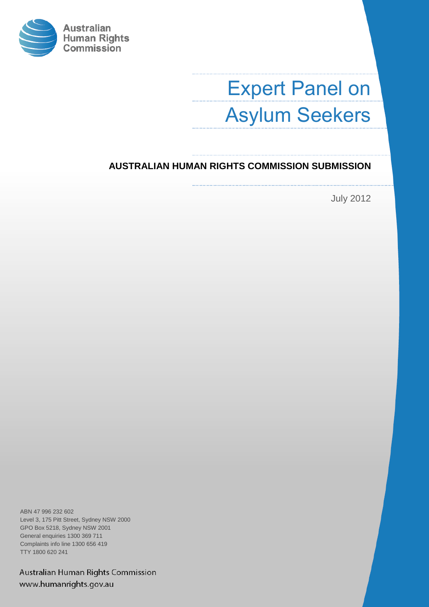

# Expert Panel on Asylum Seekers

### **AUSTRALIAN HUMAN RIGHTS COMMISSION SUBMISSION**

July 2012

ABN 47 996 232 602 Level 3, 175 Pitt Street, Sydney NSW 2000 GPO Box 5218, Sydney NSW 2001 General enquiries 1300 369 711 Complaints info line 1300 656 419 TTY 1800 620 241

Australian Human Rights Commission www.humanrights.gov.au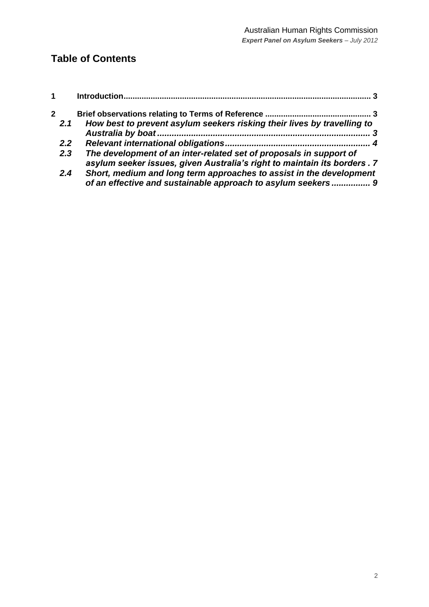# **Table of Contents**

| 1                   |                                                                                                                                                | 3 |
|---------------------|------------------------------------------------------------------------------------------------------------------------------------------------|---|
| $\mathbf{2}$<br>2.1 | How best to prevent asylum seekers risking their lives by travelling to                                                                        |   |
|                     |                                                                                                                                                |   |
| 2.2 <sub>2</sub>    |                                                                                                                                                |   |
| 2.3                 | The development of an inter-related set of proposals in support of<br>asylum seeker issues, given Australia's right to maintain its borders. 7 |   |
| 2.4                 | Short, medium and long term approaches to assist in the development<br>of an effective and sustainable approach to asylum seekers  9           |   |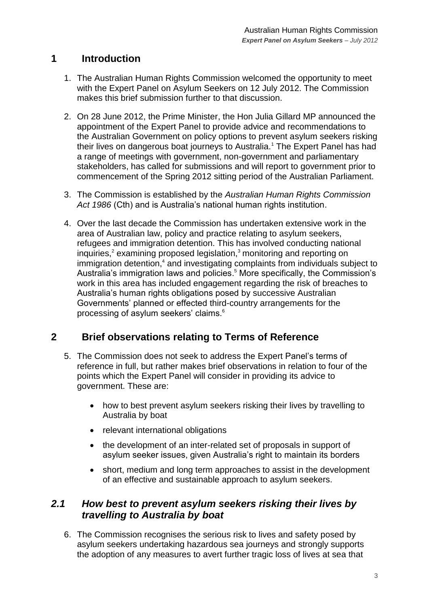# <span id="page-2-0"></span>**1 Introduction**

- 1. The Australian Human Rights Commission welcomed the opportunity to meet with the Expert Panel on Asylum Seekers on 12 July 2012. The Commission makes this brief submission further to that discussion.
- 2. On 28 June 2012, the Prime Minister, the Hon Julia Gillard MP announced the appointment of the Expert Panel to provide advice and recommendations to the Australian Government on policy options to prevent asylum seekers risking their lives on dangerous boat journeys to Australia.<sup>1</sup> The Expert Panel has had a range of meetings with government, non-government and parliamentary stakeholders, has called for submissions and will report to government prior to commencement of the Spring 2012 sitting period of the Australian Parliament.
- 3. The Commission is established by the *Australian Human Rights Commission Act 1986* (Cth) and is Australia"s national human rights institution.
- 4. Over the last decade the Commission has undertaken extensive work in the area of Australian law, policy and practice relating to asylum seekers, refugees and immigration detention. This has involved conducting national inquiries, $2$  examining proposed legislation, $3$  monitoring and reporting on immigration detention,<sup>4</sup> and investigating complaints from individuals subject to Australia's immigration laws and policies.<sup>5</sup> More specifically, the Commission's work in this area has included engagement regarding the risk of breaches to Australia"s human rights obligations posed by successive Australian Governments" planned or effected third-country arrangements for the processing of asylum seekers' claims.<sup>6</sup>

# <span id="page-2-1"></span>**2 Brief observations relating to Terms of Reference**

- 5. The Commission does not seek to address the Expert Panel"s terms of reference in full, but rather makes brief observations in relation to four of the points which the Expert Panel will consider in providing its advice to government. These are:
	- how to best prevent asylum seekers risking their lives by travelling to Australia by boat
	- relevant international obligations
	- the development of an inter-related set of proposals in support of asylum seeker issues, given Australia's right to maintain its borders
	- short, medium and long term approaches to assist in the development of an effective and sustainable approach to asylum seekers.

### <span id="page-2-2"></span>*2.1 How best to prevent asylum seekers risking their lives by travelling to Australia by boat*

6. The Commission recognises the serious risk to lives and safety posed by asylum seekers undertaking hazardous sea journeys and strongly supports the adoption of any measures to avert further tragic loss of lives at sea that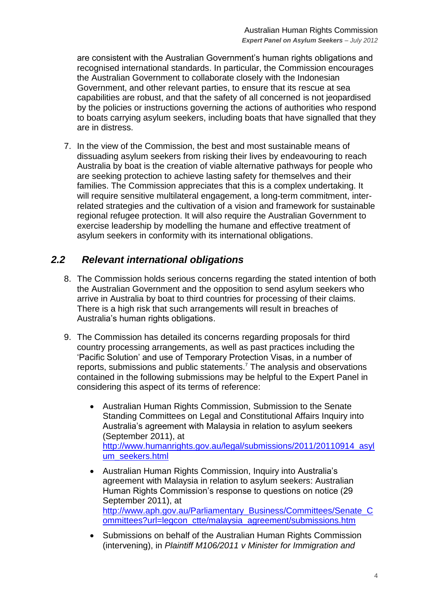are consistent with the Australian Government"s human rights obligations and recognised international standards. In particular, the Commission encourages the Australian Government to collaborate closely with the Indonesian Government, and other relevant parties, to ensure that its rescue at sea capabilities are robust, and that the safety of all concerned is not jeopardised by the policies or instructions governing the actions of authorities who respond to boats carrying asylum seekers, including boats that have signalled that they are in distress.

7. In the view of the Commission, the best and most sustainable means of dissuading asylum seekers from risking their lives by endeavouring to reach Australia by boat is the creation of viable alternative pathways for people who are seeking protection to achieve lasting safety for themselves and their families. The Commission appreciates that this is a complex undertaking. It will require sensitive multilateral engagement, a long-term commitment, interrelated strategies and the cultivation of a vision and framework for sustainable regional refugee protection. It will also require the Australian Government to exercise leadership by modelling the humane and effective treatment of asylum seekers in conformity with its international obligations.

# <span id="page-3-0"></span>*2.2 Relevant international obligations*

- 8. The Commission holds serious concerns regarding the stated intention of both the Australian Government and the opposition to send asylum seekers who arrive in Australia by boat to third countries for processing of their claims. There is a high risk that such arrangements will result in breaches of Australia"s human rights obligations.
- 9. The Commission has detailed its concerns regarding proposals for third country processing arrangements, as well as past practices including the 'Pacific Solution' and use of Temporary Protection Visas, in a number of reports, submissions and public statements.<sup>7</sup> The analysis and observations contained in the following submissions may be helpful to the Expert Panel in considering this aspect of its terms of reference:
	- Australian Human Rights Commission, Submission to the Senate Standing Committees on Legal and Constitutional Affairs Inquiry into Australia"s agreement with Malaysia in relation to asylum seekers (September 2011), at [http://www.humanrights.gov.au/legal/submissions/2011/20110914\\_asyl](http://www.humanrights.gov.au/legal/submissions/2011/20110914_asylum_seekers.html) [um\\_seekers.html](http://www.humanrights.gov.au/legal/submissions/2011/20110914_asylum_seekers.html)
	- Australian Human Rights Commission, Inquiry into Australia"s agreement with Malaysia in relation to asylum seekers: Australian Human Rights Commission"s response to questions on notice (29 September 2011), at [http://www.aph.gov.au/Parliamentary\\_Business/Committees/Senate\\_C](http://www.aph.gov.au/Parliamentary_Business/Committees/Senate_Committees?url=legcon_ctte/malaysia_agreement/submissions.htm) [ommittees?url=legcon\\_ctte/malaysia\\_agreement/submissions.htm](http://www.aph.gov.au/Parliamentary_Business/Committees/Senate_Committees?url=legcon_ctte/malaysia_agreement/submissions.htm)
	- Submissions on behalf of the Australian Human Rights Commission (intervening), in *Plaintiff M106/2011 v Minister for Immigration and*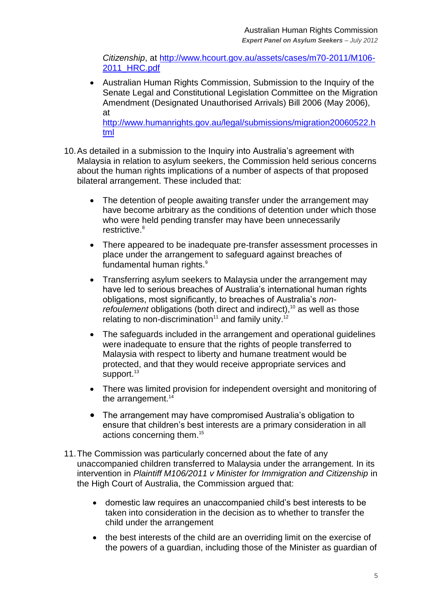*Citizenship*, at [http://www.hcourt.gov.au/assets/cases/m70-2011/M106-](http://www.hcourt.gov.au/assets/cases/m70-2011/M106-2011_HRC.pdf) [2011\\_HRC.pdf](http://www.hcourt.gov.au/assets/cases/m70-2011/M106-2011_HRC.pdf)

 Australian Human Rights Commission, Submission to the Inquiry of the Senate Legal and Constitutional Legislation Committee on the Migration Amendment (Designated Unauthorised Arrivals) Bill 2006 (May 2006), at

[http://www.humanrights.gov.au/legal/submissions/migration20060522.h](http://www.humanrights.gov.au/legal/submissions/migration20060522.html) [tml](http://www.humanrights.gov.au/legal/submissions/migration20060522.html)

- 10. As detailed in a submission to the Inquiry into Australia's agreement with Malaysia in relation to asylum seekers, the Commission held serious concerns about the human rights implications of a number of aspects of that proposed bilateral arrangement. These included that:
	- The detention of people awaiting transfer under the arrangement may have become arbitrary as the conditions of detention under which those who were held pending transfer may have been unnecessarily restrictive.<sup>8</sup>
	- There appeared to be inadequate pre-transfer assessment processes in place under the arrangement to safeguard against breaches of fundamental human rights.<sup>9</sup>
	- Transferring asylum seekers to Malaysia under the arrangement may have led to serious breaches of Australia's international human rights obligations, most significantly, to breaches of Australia"s *nonrefoulement* obligations (both direct and indirect),<sup>10</sup> as well as those relating to non-discrimination<sup>11</sup> and family unity.<sup>12</sup>
	- The safeguards included in the arrangement and operational guidelines were inadequate to ensure that the rights of people transferred to Malaysia with respect to liberty and humane treatment would be protected, and that they would receive appropriate services and support.<sup>13</sup>
	- There was limited provision for independent oversight and monitoring of the arrangement. $14$
	- The arrangement may have compromised Australia's obligation to ensure that children"s best interests are a primary consideration in all actions concerning them.<sup>15</sup>
- 11.The Commission was particularly concerned about the fate of any unaccompanied children transferred to Malaysia under the arrangement. In its intervention in *Plaintiff M106/2011 v Minister for Immigration and Citizenship* in the High Court of Australia, the Commission argued that:
	- domestic law requires an unaccompanied child"s best interests to be taken into consideration in the decision as to whether to transfer the child under the arrangement
	- the best interests of the child are an overriding limit on the exercise of the powers of a guardian, including those of the Minister as guardian of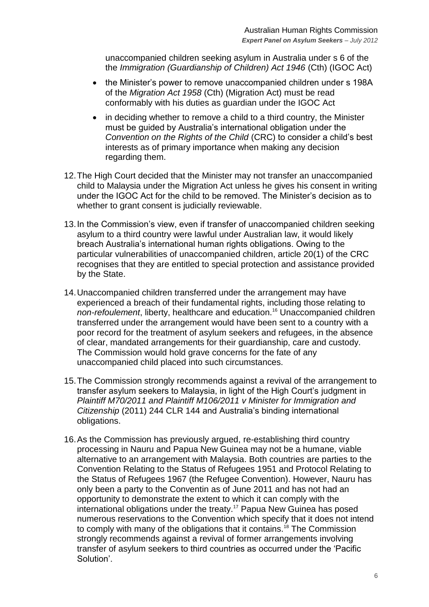unaccompanied children seeking asylum in Australia under s 6 of the the *Immigration (Guardianship of Children) Act 1946* (Cth) (IGOC Act)

- the Minister's power to remove unaccompanied children under s 198A of the *Migration Act 1958* (Cth) (Migration Act) must be read conformably with his duties as guardian under the IGOC Act
- in deciding whether to remove a child to a third country, the Minister must be guided by Australia"s international obligation under the *Convention on the Rights of the Child* (CRC) to consider a child"s best interests as of primary importance when making any decision regarding them.
- 12.The High Court decided that the Minister may not transfer an unaccompanied child to Malaysia under the Migration Act unless he gives his consent in writing under the IGOC Act for the child to be removed. The Minister"s decision as to whether to grant consent is judicially reviewable.
- 13.In the Commission"s view, even if transfer of unaccompanied children seeking asylum to a third country were lawful under Australian law, it would likely breach Australia"s international human rights obligations. Owing to the particular vulnerabilities of unaccompanied children, article 20(1) of the CRC recognises that they are entitled to special protection and assistance provided by the State.
- 14.Unaccompanied children transferred under the arrangement may have experienced a breach of their fundamental rights, including those relating to *non-refoulement*, liberty, healthcare and education.<sup>16</sup> Unaccompanied children transferred under the arrangement would have been sent to a country with a poor record for the treatment of asylum seekers and refugees, in the absence of clear, mandated arrangements for their guardianship, care and custody. The Commission would hold grave concerns for the fate of any unaccompanied child placed into such circumstances.
- 15.The Commission strongly recommends against a revival of the arrangement to transfer asylum seekers to Malaysia, in light of the High Court"s judgment in *Plaintiff M70/2011 and Plaintiff M106/2011 v Minister for Immigration and Citizenship* (2011) 244 CLR 144 and Australia"s binding international obligations.
- 16.As the Commission has previously argued, re-establishing third country processing in Nauru and Papua New Guinea may not be a humane, viable alternative to an arrangement with Malaysia. Both countries are parties to the Convention Relating to the Status of Refugees 1951 and Protocol Relating to the Status of Refugees 1967 (the Refugee Convention). However, Nauru has only been a party to the Conventin as of June 2011 and has not had an opportunity to demonstrate the extent to which it can comply with the international obligations under the treaty.<sup>17</sup> Papua New Guinea has posed numerous reservations to the Convention which specify that it does not intend to comply with many of the obligations that it contains.<sup>18</sup> The Commission strongly recommends against a revival of former arrangements involving transfer of asylum seekers to third countries as occurred under the "Pacific Solution".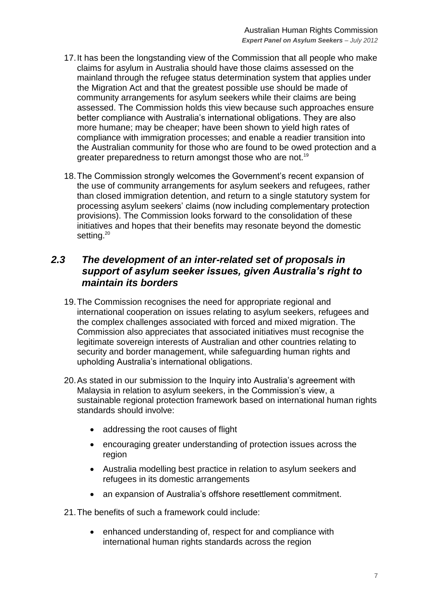- 17.It has been the longstanding view of the Commission that all people who make claims for asylum in Australia should have those claims assessed on the mainland through the refugee status determination system that applies under the Migration Act and that the greatest possible use should be made of community arrangements for asylum seekers while their claims are being assessed. The Commission holds this view because such approaches ensure better compliance with Australia"s international obligations. They are also more humane; may be cheaper; have been shown to yield high rates of compliance with immigration processes; and enable a readier transition into the Australian community for those who are found to be owed protection and a greater preparedness to return amongst those who are not.<sup>19</sup>
- 18.The Commission strongly welcomes the Government"s recent expansion of the use of community arrangements for asylum seekers and refugees, rather than closed immigration detention, and return to a single statutory system for processing asylum seekers" claims (now including complementary protection provisions). The Commission looks forward to the consolidation of these initiatives and hopes that their benefits may resonate beyond the domestic setting.<sup>20</sup>

### <span id="page-6-0"></span>*2.3 The development of an inter-related set of proposals in support of asylum seeker issues, given Australia's right to maintain its borders*

- 19.The Commission recognises the need for appropriate regional and international cooperation on issues relating to asylum seekers, refugees and the complex challenges associated with forced and mixed migration. The Commission also appreciates that associated initiatives must recognise the legitimate sovereign interests of Australian and other countries relating to security and border management, while safeguarding human rights and upholding Australia"s international obligations.
- 20.As stated in our submission to the Inquiry into Australia"s agreement with Malaysia in relation to asylum seekers, in the Commission"s view, a sustainable regional protection framework based on international human rights standards should involve:
	- addressing the root causes of flight
	- encouraging greater understanding of protection issues across the region
	- Australia modelling best practice in relation to asylum seekers and refugees in its domestic arrangements
	- an expansion of Australia's offshore resettlement commitment.

21.The benefits of such a framework could include:

• enhanced understanding of, respect for and compliance with international human rights standards across the region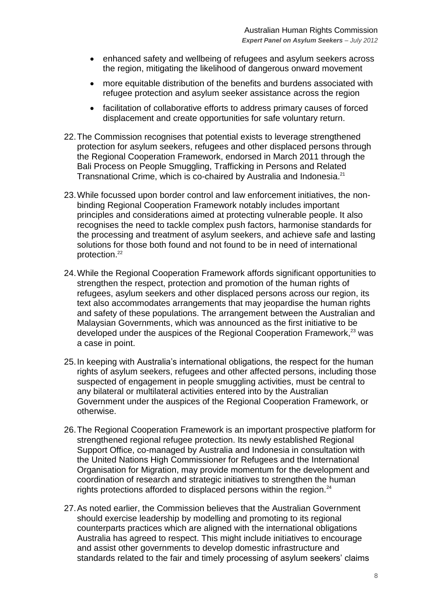- enhanced safety and wellbeing of refugees and asylum seekers across the region, mitigating the likelihood of dangerous onward movement
- more equitable distribution of the benefits and burdens associated with refugee protection and asylum seeker assistance across the region
- facilitation of collaborative efforts to address primary causes of forced displacement and create opportunities for safe voluntary return.
- 22.The Commission recognises that potential exists to leverage strengthened protection for asylum seekers, refugees and other displaced persons through the Regional Cooperation Framework, endorsed in March 2011 through the Bali Process on People Smuggling, Trafficking in Persons and Related Transnational Crime, which is co-chaired by Australia and Indonesia.<sup>21</sup>
- 23.While focussed upon border control and law enforcement initiatives, the nonbinding Regional Cooperation Framework notably includes important principles and considerations aimed at protecting vulnerable people. It also recognises the need to tackle complex push factors, harmonise standards for the processing and treatment of asylum seekers, and achieve safe and lasting solutions for those both found and not found to be in need of international protection.<sup>22</sup>
- 24.While the Regional Cooperation Framework affords significant opportunities to strengthen the respect, protection and promotion of the human rights of refugees, asylum seekers and other displaced persons across our region, its text also accommodates arrangements that may jeopardise the human rights and safety of these populations. The arrangement between the Australian and Malaysian Governments, which was announced as the first initiative to be developed under the auspices of the Regional Cooperation Framework,<sup>23</sup> was a case in point.
- 25.In keeping with Australia"s international obligations, the respect for the human rights of asylum seekers, refugees and other affected persons, including those suspected of engagement in people smuggling activities, must be central to any bilateral or multilateral activities entered into by the Australian Government under the auspices of the Regional Cooperation Framework, or otherwise.
- 26.The Regional Cooperation Framework is an important prospective platform for strengthened regional refugee protection. Its newly established Regional Support Office, co-managed by Australia and Indonesia in consultation with the United Nations High Commissioner for Refugees and the International Organisation for Migration, may provide momentum for the development and coordination of research and strategic initiatives to strengthen the human rights protections afforded to displaced persons within the region. $24$
- 27.As noted earlier, the Commission believes that the Australian Government should exercise leadership by modelling and promoting to its regional counterparts practices which are aligned with the international obligations Australia has agreed to respect. This might include initiatives to encourage and assist other governments to develop domestic infrastructure and standards related to the fair and timely processing of asylum seekers' claims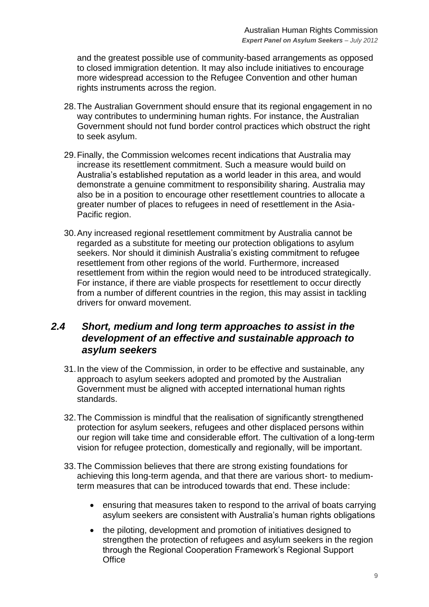and the greatest possible use of community-based arrangements as opposed to closed immigration detention. It may also include initiatives to encourage more widespread accession to the Refugee Convention and other human rights instruments across the region.

- 28.The Australian Government should ensure that its regional engagement in no way contributes to undermining human rights. For instance, the Australian Government should not fund border control practices which obstruct the right to seek asylum.
- 29.Finally, the Commission welcomes recent indications that Australia may increase its resettlement commitment. Such a measure would build on Australia"s established reputation as a world leader in this area, and would demonstrate a genuine commitment to responsibility sharing. Australia may also be in a position to encourage other resettlement countries to allocate a greater number of places to refugees in need of resettlement in the Asia-Pacific region.
- 30.Any increased regional resettlement commitment by Australia cannot be regarded as a substitute for meeting our protection obligations to asylum seekers. Nor should it diminish Australia's existing commitment to refugee resettlement from other regions of the world. Furthermore, increased resettlement from within the region would need to be introduced strategically. For instance, if there are viable prospects for resettlement to occur directly from a number of different countries in the region, this may assist in tackling drivers for onward movement.

### <span id="page-8-0"></span>*2.4 Short, medium and long term approaches to assist in the development of an effective and sustainable approach to asylum seekers*

- 31.In the view of the Commission, in order to be effective and sustainable, any approach to asylum seekers adopted and promoted by the Australian Government must be aligned with accepted international human rights standards.
- 32.The Commission is mindful that the realisation of significantly strengthened protection for asylum seekers, refugees and other displaced persons within our region will take time and considerable effort. The cultivation of a long-term vision for refugee protection, domestically and regionally, will be important.
- 33.The Commission believes that there are strong existing foundations for achieving this long-term agenda, and that there are various short- to mediumterm measures that can be introduced towards that end. These include:
	- ensuring that measures taken to respond to the arrival of boats carrying asylum seekers are consistent with Australia"s human rights obligations
	- the piloting, development and promotion of initiatives designed to strengthen the protection of refugees and asylum seekers in the region through the Regional Cooperation Framework"s Regional Support **Office**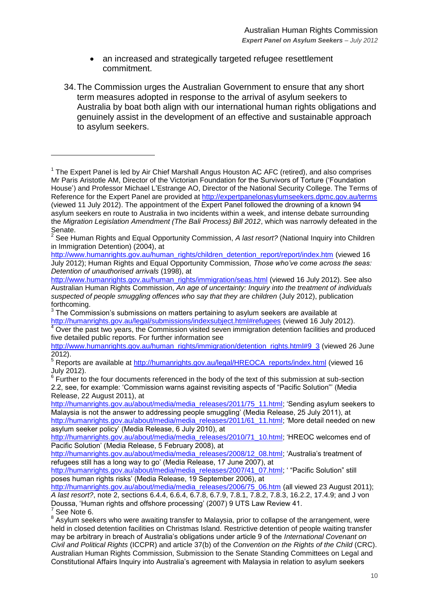- an increased and strategically targeted refugee resettlement commitment.
- 34.The Commission urges the Australian Government to ensure that any short term measures adopted in response to the arrival of asylum seekers to Australia by boat both align with our international human rights obligations and genuinely assist in the development of an effective and sustainable approach to asylum seekers.

[http://www.humanrights.gov.au/human\\_rights/children\\_detention\\_report/report/index.htm](http://www.humanrights.gov.au/human_rights/children_detention_report/report/index.htm) (viewed 16 July 2012); Human Rights and Equal Opportunity Commission, *Those who've come across the seas: Detention of unauthorised arrivals* (1998), at

[http://www.humanrights.gov.au/human\\_rights/immigration/seas.html](http://www.humanrights.gov.au/human_rights/immigration/seas.html) (viewed 16 July 2012). See also Australian Human Rights Commission, *An age of uncertainty: Inquiry into the treatment of individuals suspected of people smuggling offences who say that they are children* (July 2012), publication forthcoming.

Over the past two years, the Commission visited seven immigration detention facilities and produced five detailed public reports. For further information see

July 2012).<br><sup>6</sup> Further to the four documents referenced in the body of the text of this submission at sub-section 2.2, see, for example: "Commission warns against revisiting aspects of "Pacific Solution"" (Media Release, 22 August 2011), at

[http://humanrights.gov.au/about/media/media\\_releases/2011/61\\_11.html;](http://humanrights.gov.au/about/media/media_releases/2011/61_11.html) 'More detail needed on new asylum seeker policy" (Media Release, 6 July 2010), at

See Note 6.

 $\overline{a}$ 

<sup>&</sup>lt;sup>1</sup> The Expert Panel is led by Air Chief Marshall Angus Houston AC AFC (retired), and also comprises Mr Paris Aristotle AM, Director of the Victorian Foundation for the Survivors of Torture ("Foundation House") and Professor Michael L"Estrange AO, Director of the National Security College. The Terms of Reference for the Expert Panel are provided at<http://expertpanelonasylumseekers.dpmc.gov.au/terms> (viewed 11 July 2012). The appointment of the Expert Panel followed the drowning of a known 94 asylum seekers en route to Australia in two incidents within a week, and intense debate surrounding the *Migration Legislation Amendment (The Bali Process) Bill 2012*, which was narrowly defeated in the Senate.

<sup>2</sup> See Human Rights and Equal Opportunity Commission, *A last resort?* (National Inquiry into Children in Immigration Detention) (2004), at

 $3$  The Commission's submissions on matters pertaining to asylum seekers are available at [http://humanrights.gov.au/legal/submissions/indexsubject.html#refugees](http://www.humanrights.gov.au/legal/submissions/index.html#refugees) (viewed 16 July 2012).

[http://www.humanrights.gov.au/human\\_rights/immigration/detention\\_rights.html#9\\_3](http://www.humanrights.gov.au/human_rights/immigration/detention_rights.html#9_3) (viewed 26 June 2012).

<sup>5</sup> COD FORD Are available at [http://humanrights.gov.au/legal/HREOCA\\_reports/index.html](http://www.humanrights.gov.au/legal/humanrightsreports/index.html) (viewed 16

[http://humanrights.gov.au/about/media/media\\_releases/2011/75\\_11.html;](http://humanrights.gov.au/about/media/media_releases/2011/75_11.html) 'Sending asylum seekers to Malaysia is not the answer to addressing people smuggling" (Media Release, 25 July 2011), at

[http://humanrights.gov.au/about/media/media\\_releases/2010/71\\_10.html;](http://humanrights.gov.au/about/media/media_releases/2010/71_10.html) 'HREOC welcomes end of Pacific Solution" (Media Release, 5 February 2008), at

[http://humanrights.gov.au/about/media/media\\_releases/2008/12\\_08.html;](http://humanrights.gov.au/about/media/media_releases/2008/12_08.html) 'Australia's treatment of refugees still has a long way to go" (Media Release, 17 June 2007), at

[http://humanrights.gov.au/about/media/media\\_releases/2007/41\\_07.html;](http://humanrights.gov.au/about/media/media_releases/2007/41_07.html) " "Pacific Solution" still poses human rights risks" (Media Release, 19 September 2006), at

[http://humanrights.gov.au/about/media/media\\_releases/2006/75\\_06.htm](http://humanrights.gov.au/about/media/media_releases/2006/75_06.htm) (all viewed 23 August 2011); *A last resort?*, note 2, sections 6.4.4, 6.6.4, 6.7.8, 6.7.9, 7.8.1, 7.8.2, 7.8.3, 16.2.2, 17.4.9; and J von Doussa, "Human rights and offshore processing" (2007) 9 UTS Law Review 41. 7

 $8$  Asylum seekers who were awaiting transfer to Malaysia, prior to collapse of the arrangement, were held in closed detention facilities on Christmas Island. Restrictive detention of people waiting transfer may be arbitrary in breach of Australia"s obligations under article 9 of the *International Covenant on Civil and Political Rights* (ICCPR) and article 37(b) of the *Convention on the Rights of the Child* (CRC). Australian Human Rights Commission, Submission to the Senate Standing Committees on Legal and Constitutional Affairs Inquiry into Australia"s agreement with Malaysia in relation to asylum seekers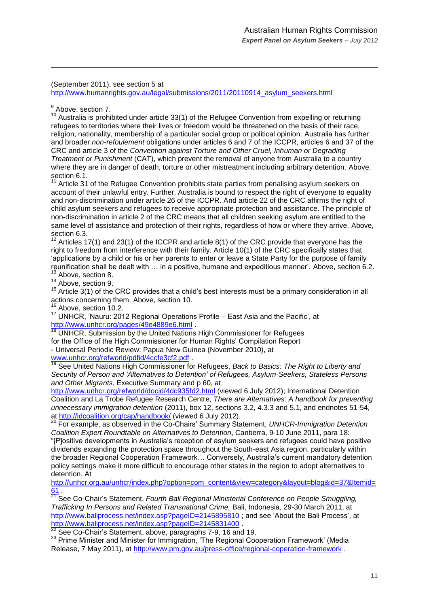(September 2011), see section 5 at

[http://www.humanrights.gov.au/legal/submissions/2011/20110914\\_asylum\\_seekers.html](http://www.humanrights.gov.au/legal/submissions/2011/20110914_asylum_seekers.html)

<sup>9</sup> Above, section 7.

 $\overline{a}$ 

<sup>10</sup> Australia is prohibited under article 33(1) of the Refugee Convention from expelling or returning refugees to territories where their lives or freedom would be threatened on the basis of their race, religion, nationality, membership of a particular social group or political opinion. Australia has further and broader *non-refoulement* obligations under articles 6 and 7 of the ICCPR, articles 6 and 37 of the CRC and article 3 of the *Convention against Torture and Other Cruel, Inhuman or Degrading Treatment or Punishment* (CAT), which prevent the removal of anyone from Australia to a country where they are in danger of death, torture or other mistreatment including arbitrary detention. Above, section 6.1.

 $11$  Article 31 of the Refugee Convention prohibits state parties from penalising asylum seekers on account of their unlawful entry. Further, Australia is bound to respect the right of everyone to equality and non-discrimination under article 26 of the ICCPR. And article 22 of the CRC affirms the right of child asylum seekers and refugees to receive appropriate protection and assistance. The principle of non-discrimination in article 2 of the CRC means that all children seeking asylum are entitled to the same level of assistance and protection of their rights, regardless of how or where they arrive. Above, section 6.3.

 $12$  Articles 17(1) and 23(1) of the ICCPR and article 8(1) of the CRC provide that everyone has the right to freedom from interference with their family. Article 10(1) of the CRC specifically states that "applications by a child or his or her parents to enter or leave a State Party for the purpose of family reunification shall be dealt with … in a positive, humane and expeditious manner". Above, section 6.2. <sup>13</sup> Above, section 8.

 $14$  Above, section 9.

<sup>15</sup> Article 3(1) of the CRC provides that a child's best interests must be a primary consideration in all actions concerning them. Above, section 10.

Above, section 10.2.

<sup>17</sup> UNHCR, "Nauru: 2012 Regional Operations Profile – East Asia and the Pacific", at <http://www.unhcr.org/pages/49e4889e6.html>

UNHCR, Submission by the United Nations High Commissioner for Refugees for the Office of the High Commissioner for Human Rights' Compilation Report - Universal Periodic Review: Papua New Guinea (November 2010), at [www.unhcr.org/refworld/pdfid/4ccfe3cf2.pdf](http://www.unhcr.org/refworld/pdfid/4ccfe3cf2.pdf)<br><sup>19</sup> Carefuse .

<sup>19</sup> See United Nations High Commissioner for Refugees, *Back to Basics: The Right to Liberty and Security of Person and 'Alternatives to Detention' of Refugees, Asylum-Seekers, Stateless Persons and Other Migrants*, Executive Summary and p 60, at

<http://www.unhcr.org/refworld/docid/4dc935fd2.html> (viewed 6 July 2012); International Detention Coalition and La Trobe Refugee Research Centre, *There are Alternatives: A handbook for preventing unnecessary immigration detention* (2011), box 12, sections 3.2, 4.3.3 and 5.1, and endnotes 51-54, at<http://idcoalition.org/cap/handbook/> (viewed 6 July 2012).

<sup>20</sup> For example, as observed in the Co-Chairs" Summary Statement, *UNHCR-Immigration Detention Coalition Expert Roundtable on Alternatives to Detention*, Canberra, 9-10 June 2011, para 18: "[P]ositive developments in Australia"s reception of asylum seekers and refugees could have positive dividends expanding the protection space throughout the South-east Asia region, particularly within the broader Regional Cooperation Framework… Conversely, Australia"s current mandatory detention policy settings make it more difficult to encourage other states in the region to adopt alternatives to detention. At

[http://unhcr.org.au/unhcr/index.php?option=com\\_content&view=category&layout=blog&id=37&Itemid=](http://unhcr.org.au/unhcr/index.php?option=com_content&view=category&layout=blog&id=37&Itemid=61)  $61$  .

<sup>2T</sup> See Co-Chair's Statement, *Fourth Bali Regional Ministerial Conference on People Smuggling, Trafficking In Persons and Related Transnational Crime,* Bali, Indonesia, 29-30 March 2011, at <http://www.baliprocess.net/index.asp?pageID=2145895810>; and see 'About the Bali Process', at <http://www.baliprocess.net/index.asp?pageID=2145831400>

See Co-Chair's Statement, above, paragraphs 7-9, 16 and 19.

<sup>23</sup> Prime Minister and Minister for Immigration, 'The Regional Cooperation Framework' (Media Release, 7 May 2011), at<http://www.pm.gov.au/press-office/regional-coperation-framework> .